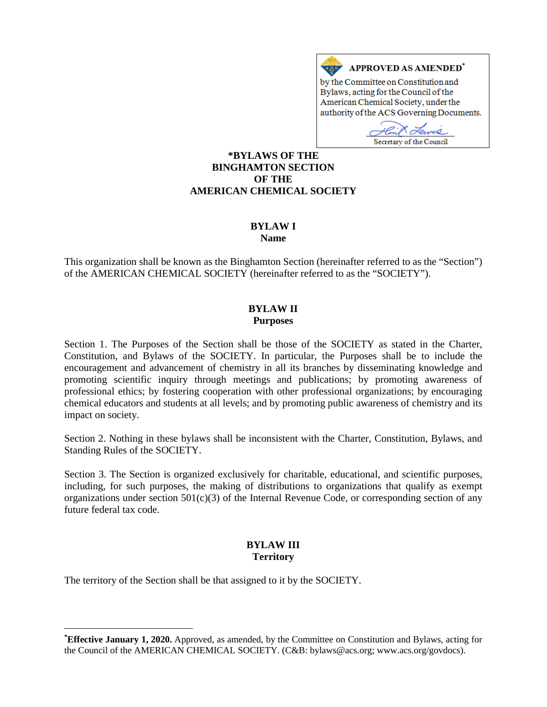

D Secretary of the Council

#### **[\\*](#page-0-0)BYLAWS OF THE BINGHAMTON SECTION OF THE AMERICAN CHEMICAL SOCIETY**

# **BYLAW I**

#### **Name**

This organization shall be known as the Binghamton Section (hereinafter referred to as the "Section") of the AMERICAN CHEMICAL SOCIETY (hereinafter referred to as the "SOCIETY").

#### **BYLAW II Purposes**

Section 1. The Purposes of the Section shall be those of the SOCIETY as stated in the Charter, Constitution, and Bylaws of the SOCIETY. In particular, the Purposes shall be to include the encouragement and advancement of chemistry in all its branches by disseminating knowledge and promoting scientific inquiry through meetings and publications; by promoting awareness of professional ethics; by fostering cooperation with other professional organizations; by encouraging chemical educators and students at all levels; and by promoting public awareness of chemistry and its impact on society.

Section 2. Nothing in these bylaws shall be inconsistent with the Charter, Constitution, Bylaws, and Standing Rules of the SOCIETY.

Section 3. The Section is organized exclusively for charitable, educational, and scientific purposes, including, for such purposes, the making of distributions to organizations that qualify as exempt organizations under section  $501(c)(3)$  of the Internal Revenue Code, or corresponding section of any future federal tax code.

#### **BYLAW III Territory**

The territory of the Section shall be that assigned to it by the SOCIETY.

 $\overline{a}$ 

<span id="page-0-0"></span>**<sup>\*</sup> Effective January 1, 2020.** Approved, as amended, by the Committee on Constitution and Bylaws, acting for the Council of the AMERICAN CHEMICAL SOCIETY. (C&B: bylaws@acs.org; www.acs.org/govdocs).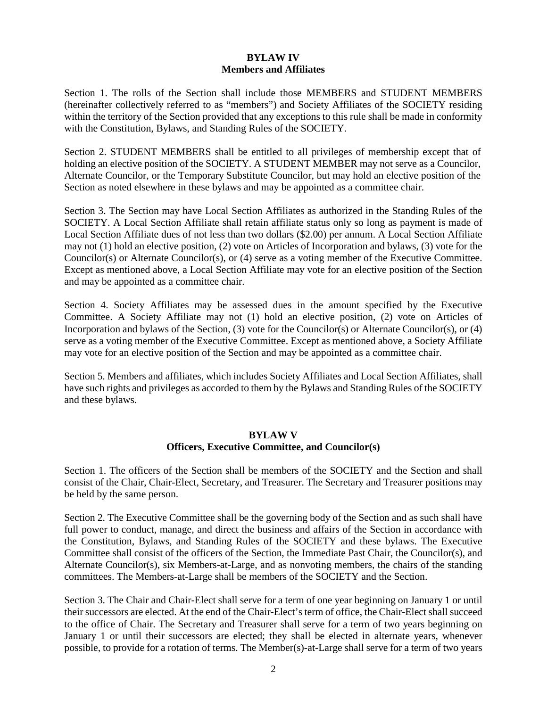## **BYLAW IV Members and Affiliates**

Section 1. The rolls of the Section shall include those MEMBERS and STUDENT MEMBERS (hereinafter collectively referred to as "members") and Society Affiliates of the SOCIETY residing within the territory of the Section provided that any exceptions to this rule shall be made in conformity with the Constitution, Bylaws, and Standing Rules of the SOCIETY.

Section 2. STUDENT MEMBERS shall be entitled to all privileges of membership except that of holding an elective position of the SOCIETY. A STUDENT MEMBER may not serve as a Councilor, Alternate Councilor, or the Temporary Substitute Councilor, but may hold an elective position of the Section as noted elsewhere in these bylaws and may be appointed as a committee chair.

Section 3. The Section may have Local Section Affiliates as authorized in the Standing Rules of the SOCIETY. A Local Section Affiliate shall retain affiliate status only so long as payment is made of Local Section Affiliate dues of not less than two dollars (\$2.00) per annum. A Local Section Affiliate may not (1) hold an elective position, (2) vote on Articles of Incorporation and bylaws, (3) vote for the Councilor(s) or Alternate Councilor(s), or (4) serve as a voting member of the Executive Committee. Except as mentioned above, a Local Section Affiliate may vote for an elective position of the Section and may be appointed as a committee chair.

Section 4. Society Affiliates may be assessed dues in the amount specified by the Executive Committee. A Society Affiliate may not (1) hold an elective position, (2) vote on Articles of Incorporation and bylaws of the Section, (3) vote for the Councilor(s) or Alternate Councilor(s), or (4) serve as a voting member of the Executive Committee. Except as mentioned above, a Society Affiliate may vote for an elective position of the Section and may be appointed as a committee chair.

Section 5. Members and affiliates, which includes Society Affiliates and Local Section Affiliates, shall have such rights and privileges as accorded to them by the Bylaws and Standing Rules of the SOCIETY and these bylaws.

#### **BYLAW V Officers, Executive Committee, and Councilor(s)**

Section 1. The officers of the Section shall be members of the SOCIETY and the Section and shall consist of the Chair, Chair-Elect, Secretary, and Treasurer. The Secretary and Treasurer positions may be held by the same person.

Section 2. The Executive Committee shall be the governing body of the Section and as such shall have full power to conduct, manage, and direct the business and affairs of the Section in accordance with the Constitution, Bylaws, and Standing Rules of the SOCIETY and these bylaws. The Executive Committee shall consist of the officers of the Section, the Immediate Past Chair, the Councilor(s), and Alternate Councilor(s), six Members-at-Large, and as nonvoting members, the chairs of the standing committees. The Members-at-Large shall be members of the SOCIETY and the Section.

Section 3. The Chair and Chair-Elect shall serve for a term of one year beginning on January 1 or until their successors are elected. At the end of the Chair-Elect's term of office, the Chair-Elect shall succeed to the office of Chair. The Secretary and Treasurer shall serve for a term of two years beginning on January 1 or until their successors are elected; they shall be elected in alternate years, whenever possible, to provide for a rotation of terms. The Member(s)-at-Large shall serve for a term of two years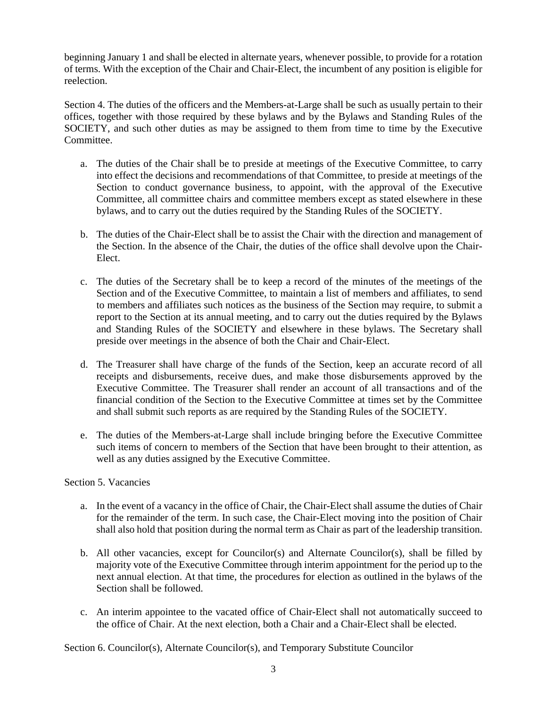beginning January 1 and shall be elected in alternate years, whenever possible, to provide for a rotation of terms. With the exception of the Chair and Chair-Elect, the incumbent of any position is eligible for reelection.

Section 4. The duties of the officers and the Members-at-Large shall be such as usually pertain to their offices, together with those required by these bylaws and by the Bylaws and Standing Rules of the SOCIETY, and such other duties as may be assigned to them from time to time by the Executive Committee.

- a. The duties of the Chair shall be to preside at meetings of the Executive Committee, to carry into effect the decisions and recommendations of that Committee, to preside at meetings of the Section to conduct governance business, to appoint, with the approval of the Executive Committee, all committee chairs and committee members except as stated elsewhere in these bylaws, and to carry out the duties required by the Standing Rules of the SOCIETY.
- b. The duties of the Chair-Elect shall be to assist the Chair with the direction and management of the Section. In the absence of the Chair, the duties of the office shall devolve upon the Chair-Elect.
- c. The duties of the Secretary shall be to keep a record of the minutes of the meetings of the Section and of the Executive Committee, to maintain a list of members and affiliates, to send to members and affiliates such notices as the business of the Section may require, to submit a report to the Section at its annual meeting, and to carry out the duties required by the Bylaws and Standing Rules of the SOCIETY and elsewhere in these bylaws. The Secretary shall preside over meetings in the absence of both the Chair and Chair-Elect.
- d. The Treasurer shall have charge of the funds of the Section, keep an accurate record of all receipts and disbursements, receive dues, and make those disbursements approved by the Executive Committee. The Treasurer shall render an account of all transactions and of the financial condition of the Section to the Executive Committee at times set by the Committee and shall submit such reports as are required by the Standing Rules of the SOCIETY.
- e. The duties of the Members-at-Large shall include bringing before the Executive Committee such items of concern to members of the Section that have been brought to their attention, as well as any duties assigned by the Executive Committee.

### Section 5. Vacancies

- a. In the event of a vacancy in the office of Chair, the Chair-Elect shall assume the duties of Chair for the remainder of the term. In such case, the Chair-Elect moving into the position of Chair shall also hold that position during the normal term as Chair as part of the leadership transition.
- b. All other vacancies, except for Councilor(s) and Alternate Councilor(s), shall be filled by majority vote of the Executive Committee through interim appointment for the period up to the next annual election. At that time, the procedures for election as outlined in the bylaws of the Section shall be followed.
- c. An interim appointee to the vacated office of Chair-Elect shall not automatically succeed to the office of Chair. At the next election, both a Chair and a Chair-Elect shall be elected.

Section 6. Councilor(s), Alternate Councilor(s), and Temporary Substitute Councilor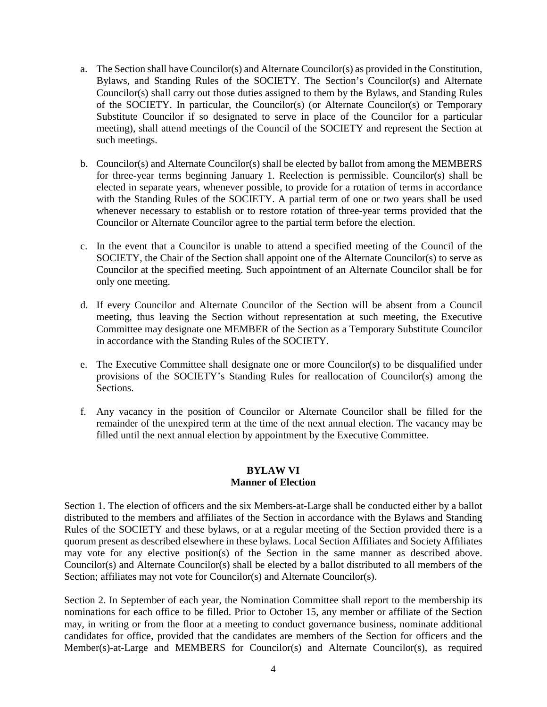- a. The Section shall have Councilor(s) and Alternate Councilor(s) as provided in the Constitution, Bylaws, and Standing Rules of the SOCIETY. The Section's Councilor(s) and Alternate Councilor(s) shall carry out those duties assigned to them by the Bylaws, and Standing Rules of the SOCIETY. In particular, the Councilor(s) (or Alternate Councilor(s) or Temporary Substitute Councilor if so designated to serve in place of the Councilor for a particular meeting), shall attend meetings of the Council of the SOCIETY and represent the Section at such meetings.
- b. Councilor(s) and Alternate Councilor(s) shall be elected by ballot from among the MEMBERS for three-year terms beginning January 1. Reelection is permissible. Councilor(s) shall be elected in separate years, whenever possible, to provide for a rotation of terms in accordance with the Standing Rules of the SOCIETY. A partial term of one or two years shall be used whenever necessary to establish or to restore rotation of three-year terms provided that the Councilor or Alternate Councilor agree to the partial term before the election.
- c. In the event that a Councilor is unable to attend a specified meeting of the Council of the SOCIETY, the Chair of the Section shall appoint one of the Alternate Councilor(s) to serve as Councilor at the specified meeting. Such appointment of an Alternate Councilor shall be for only one meeting.
- d. If every Councilor and Alternate Councilor of the Section will be absent from a Council meeting, thus leaving the Section without representation at such meeting, the Executive Committee may designate one MEMBER of the Section as a Temporary Substitute Councilor in accordance with the Standing Rules of the SOCIETY.
- e. The Executive Committee shall designate one or more Councilor(s) to be disqualified under provisions of the SOCIETY's Standing Rules for reallocation of Councilor(s) among the Sections.
- f. Any vacancy in the position of Councilor or Alternate Councilor shall be filled for the remainder of the unexpired term at the time of the next annual election. The vacancy may be filled until the next annual election by appointment by the Executive Committee.

### **BYLAW VI Manner of Election**

Section 1. The election of officers and the six Members-at-Large shall be conducted either by a ballot distributed to the members and affiliates of the Section in accordance with the Bylaws and Standing Rules of the SOCIETY and these bylaws, or at a regular meeting of the Section provided there is a quorum present as described elsewhere in these bylaws. Local Section Affiliates and Society Affiliates may vote for any elective position(s) of the Section in the same manner as described above. Councilor(s) and Alternate Councilor(s) shall be elected by a ballot distributed to all members of the Section; affiliates may not vote for Councilor(s) and Alternate Councilor(s).

Section 2. In September of each year, the Nomination Committee shall report to the membership its nominations for each office to be filled. Prior to October 15, any member or affiliate of the Section may, in writing or from the floor at a meeting to conduct governance business, nominate additional candidates for office, provided that the candidates are members of the Section for officers and the Member(s)-at-Large and MEMBERS for Councilor(s) and Alternate Councilor(s), as required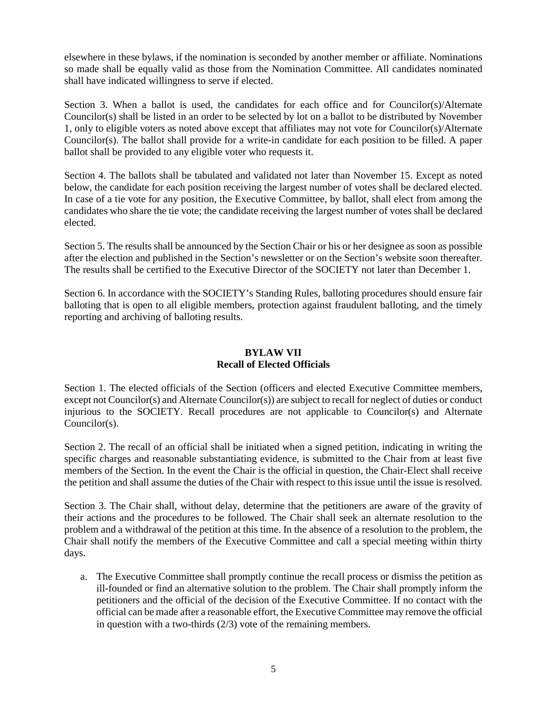elsewhere in these bylaws, if the nomination is seconded by another member or affiliate. Nominations so made shall be equally valid as those from the Nomination Committee. All candidates nominated shall have indicated willingness to serve if elected.

Section 3. When a ballot is used, the candidates for each office and for Councilor(s)/Alternate Councilor(s) shall be listed in an order to be selected by lot on a ballot to be distributed by November 1, only to eligible voters as noted above except that affiliates may not vote for Councilor(s)/Alternate Councilor(s). The ballot shall provide for a write-in candidate for each position to be filled. A paper ballot shall be provided to any eligible voter who requests it.

Section 4. The ballots shall be tabulated and validated not later than November 15. Except as noted below, the candidate for each position receiving the largest number of votes shall be declared elected. In case of a tie vote for any position, the Executive Committee, by ballot, shall elect from among the candidates who share the tie vote; the candidate receiving the largest number of votes shall be declared elected.

Section 5. The results shall be announced by the Section Chair or his or her designee as soon as possible after the election and published in the Section's newsletter or on the Section's website soon thereafter. The results shall be certified to the Executive Director of the SOCIETY not later than December 1.

Section 6. In accordance with the SOCIETY's Standing Rules, balloting procedures should ensure fair balloting that is open to all eligible members, protection against fraudulent balloting, and the timely reporting and archiving of balloting results.

# **BYLAW VII Recall of Elected Officials**

Section 1. The elected officials of the Section (officers and elected Executive Committee members, except not Councilor(s) and Alternate Councilor(s)) are subject to recall for neglect of duties or conduct injurious to the SOCIETY. Recall procedures are not applicable to Councilor(s) and Alternate Councilor(s).

Section 2. The recall of an official shall be initiated when a signed petition, indicating in writing the specific charges and reasonable substantiating evidence, is submitted to the Chair from at least five members of the Section. In the event the Chair is the official in question, the Chair-Elect shall receive the petition and shall assume the duties of the Chair with respect to this issue until the issue is resolved.

Section 3. The Chair shall, without delay, determine that the petitioners are aware of the gravity of their actions and the procedures to be followed. The Chair shall seek an alternate resolution to the problem and a withdrawal of the petition at this time. In the absence of a resolution to the problem, the Chair shall notify the members of the Executive Committee and call a special meeting within thirty days.

a. The Executive Committee shall promptly continue the recall process or dismiss the petition as ill-founded or find an alternative solution to the problem. The Chair shall promptly inform the petitioners and the official of the decision of the Executive Committee. If no contact with the official can be made after a reasonable effort, the Executive Committee may remove the official in question with a two-thirds (2/3) vote of the remaining members.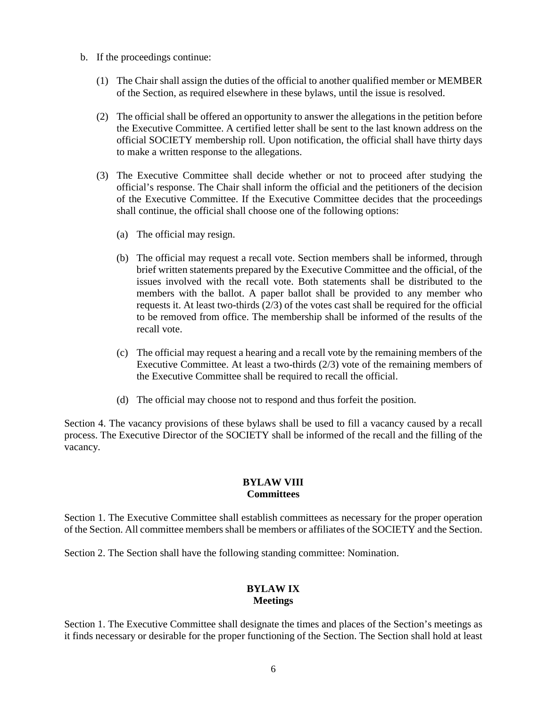- b. If the proceedings continue:
	- (1) The Chair shall assign the duties of the official to another qualified member or MEMBER of the Section, as required elsewhere in these bylaws, until the issue is resolved.
	- (2) The official shall be offered an opportunity to answer the allegations in the petition before the Executive Committee. A certified letter shall be sent to the last known address on the official SOCIETY membership roll. Upon notification, the official shall have thirty days to make a written response to the allegations.
	- (3) The Executive Committee shall decide whether or not to proceed after studying the official's response. The Chair shall inform the official and the petitioners of the decision of the Executive Committee. If the Executive Committee decides that the proceedings shall continue, the official shall choose one of the following options:
		- (a) The official may resign.
		- (b) The official may request a recall vote. Section members shall be informed, through brief written statements prepared by the Executive Committee and the official, of the issues involved with the recall vote. Both statements shall be distributed to the members with the ballot. A paper ballot shall be provided to any member who requests it. At least two-thirds (2/3) of the votes cast shall be required for the official to be removed from office. The membership shall be informed of the results of the recall vote.
		- (c) The official may request a hearing and a recall vote by the remaining members of the Executive Committee. At least a two-thirds (2/3) vote of the remaining members of the Executive Committee shall be required to recall the official.
		- (d) The official may choose not to respond and thus forfeit the position.

Section 4. The vacancy provisions of these bylaws shall be used to fill a vacancy caused by a recall process. The Executive Director of the SOCIETY shall be informed of the recall and the filling of the vacancy.

#### **BYLAW VIII Committees**

Section 1. The Executive Committee shall establish committees as necessary for the proper operation of the Section. All committee members shall be members or affiliates of the SOCIETY and the Section.

Section 2. The Section shall have the following standing committee: Nomination.

### **BYLAW IX Meetings**

Section 1. The Executive Committee shall designate the times and places of the Section's meetings as it finds necessary or desirable for the proper functioning of the Section. The Section shall hold at least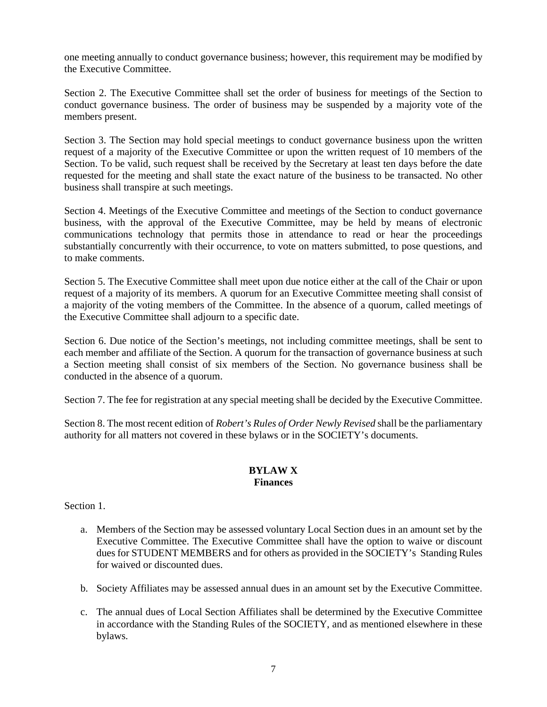one meeting annually to conduct governance business; however, this requirement may be modified by the Executive Committee.

Section 2. The Executive Committee shall set the order of business for meetings of the Section to conduct governance business. The order of business may be suspended by a majority vote of the members present.

Section 3. The Section may hold special meetings to conduct governance business upon the written request of a majority of the Executive Committee or upon the written request of 10 members of the Section. To be valid, such request shall be received by the Secretary at least ten days before the date requested for the meeting and shall state the exact nature of the business to be transacted. No other business shall transpire at such meetings.

Section 4. Meetings of the Executive Committee and meetings of the Section to conduct governance business, with the approval of the Executive Committee, may be held by means of electronic communications technology that permits those in attendance to read or hear the proceedings substantially concurrently with their occurrence, to vote on matters submitted, to pose questions, and to make comments.

Section 5. The Executive Committee shall meet upon due notice either at the call of the Chair or upon request of a majority of its members. A quorum for an Executive Committee meeting shall consist of a majority of the voting members of the Committee. In the absence of a quorum, called meetings of the Executive Committee shall adjourn to a specific date.

Section 6. Due notice of the Section's meetings, not including committee meetings, shall be sent to each member and affiliate of the Section. A quorum for the transaction of governance business at such a Section meeting shall consist of six members of the Section. No governance business shall be conducted in the absence of a quorum.

Section 7. The fee for registration at any special meeting shall be decided by the Executive Committee.

Section 8. The most recent edition of *Robert's Rules of Order Newly Revised* shall be the parliamentary authority for all matters not covered in these bylaws or in the SOCIETY's documents.

#### **BYLAW X Finances**

Section 1.

- a. Members of the Section may be assessed voluntary Local Section dues in an amount set by the Executive Committee. The Executive Committee shall have the option to waive or discount dues for STUDENT MEMBERS and for others as provided in the SOCIETY's Standing Rules for waived or discounted dues.
- b. Society Affiliates may be assessed annual dues in an amount set by the Executive Committee.
- c. The annual dues of Local Section Affiliates shall be determined by the Executive Committee in accordance with the Standing Rules of the SOCIETY, and as mentioned elsewhere in these bylaws.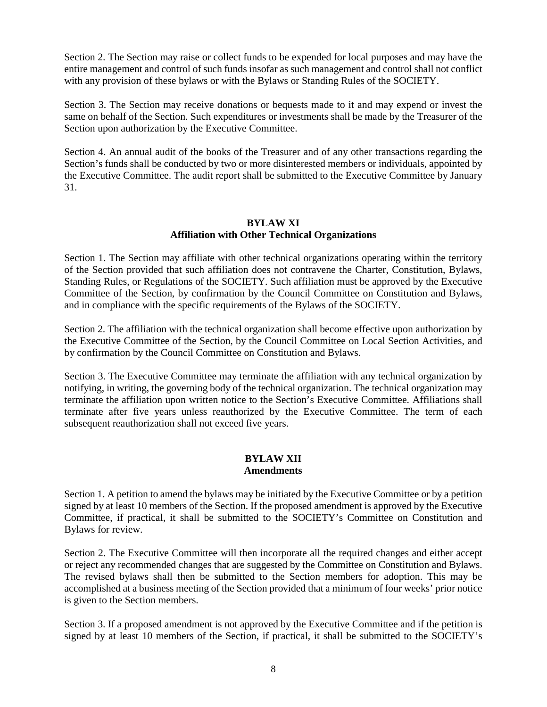Section 2. The Section may raise or collect funds to be expended for local purposes and may have the entire management and control of such funds insofar as such management and control shall not conflict with any provision of these bylaws or with the Bylaws or Standing Rules of the SOCIETY.

Section 3. The Section may receive donations or bequests made to it and may expend or invest the same on behalf of the Section. Such expenditures or investments shall be made by the Treasurer of the Section upon authorization by the Executive Committee.

Section 4. An annual audit of the books of the Treasurer and of any other transactions regarding the Section's funds shall be conducted by two or more disinterested members or individuals, appointed by the Executive Committee. The audit report shall be submitted to the Executive Committee by January 31.

### **BYLAW XI Affiliation with Other Technical Organizations**

Section 1. The Section may affiliate with other technical organizations operating within the territory of the Section provided that such affiliation does not contravene the Charter, Constitution, Bylaws, Standing Rules, or Regulations of the SOCIETY. Such affiliation must be approved by the Executive Committee of the Section, by confirmation by the Council Committee on Constitution and Bylaws, and in compliance with the specific requirements of the Bylaws of the SOCIETY.

Section 2. The affiliation with the technical organization shall become effective upon authorization by the Executive Committee of the Section, by the Council Committee on Local Section Activities, and by confirmation by the Council Committee on Constitution and Bylaws.

Section 3. The Executive Committee may terminate the affiliation with any technical organization by notifying, in writing, the governing body of the technical organization. The technical organization may terminate the affiliation upon written notice to the Section's Executive Committee. Affiliations shall terminate after five years unless reauthorized by the Executive Committee. The term of each subsequent reauthorization shall not exceed five years.

### **BYLAW XII Amendments**

Section 1. A petition to amend the bylaws may be initiated by the Executive Committee or by a petition signed by at least 10 members of the Section. If the proposed amendment is approved by the Executive Committee, if practical, it shall be submitted to the SOCIETY's Committee on Constitution and Bylaws for review.

Section 2. The Executive Committee will then incorporate all the required changes and either accept or reject any recommended changes that are suggested by the Committee on Constitution and Bylaws. The revised bylaws shall then be submitted to the Section members for adoption. This may be accomplished at a business meeting of the Section provided that a minimum of four weeks' prior notice is given to the Section members.

Section 3. If a proposed amendment is not approved by the Executive Committee and if the petition is signed by at least 10 members of the Section, if practical, it shall be submitted to the SOCIETY's